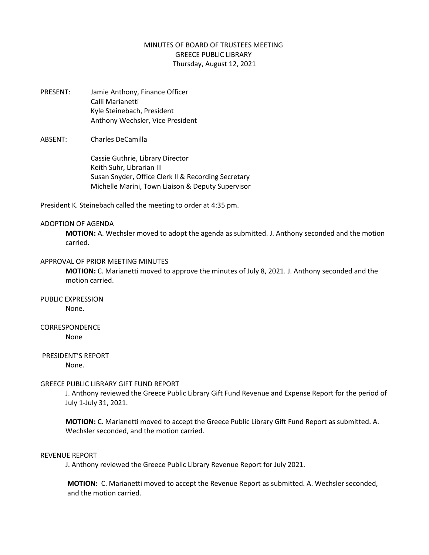# MINUTES OF BOARD OF TRUSTEES MEETING GREECE PUBLIC LIBRARY Thursday, August 12, 2021

PRESENT: Jamie Anthony, Finance Officer Calli Marianetti Kyle Steinebach, President Anthony Wechsler, Vice President

# ABSENT: Charles DeCamilla

Cassie Guthrie, Library Director Keith Suhr, Librarian III Susan Snyder, Office Clerk II & Recording Secretary Michelle Marini, Town Liaison & Deputy Supervisor

President K. Steinebach called the meeting to order at 4:35 pm.

#### ADOPTION OF AGENDA

**MOTION:** A. Wechsler moved to adopt the agenda as submitted. J. Anthony seconded and the motion carried.

# APPROVAL OF PRIOR MEETING MINUTES

**MOTION:** C. Marianetti moved to approve the minutes of July 8, 2021. J. Anthony seconded and the motion carried.

# PUBLIC EXPRESSION

None.

# CORRESPONDENCE

None

# PRESIDENT'S REPORT

None.

## GREECE PUBLIC LIBRARY GIFT FUND REPORT

J. Anthony reviewed the Greece Public Library Gift Fund Revenue and Expense Report for the period of July 1-July 31, 2021.

**MOTION:** C. Marianetti moved to accept the Greece Public Library Gift Fund Report as submitted. A. Wechsler seconded, and the motion carried.

#### REVENUE REPORT

J. Anthony reviewed the Greece Public Library Revenue Report for July 2021.

**MOTION:** C. Marianetti moved to accept the Revenue Report as submitted. A. Wechsler seconded, and the motion carried.